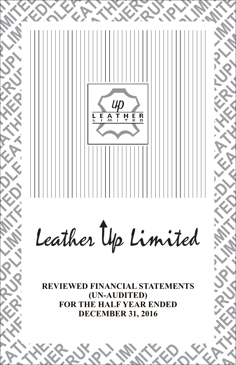

**FOR THE HALF YEAR ENDED DECEMBER 31, 2016**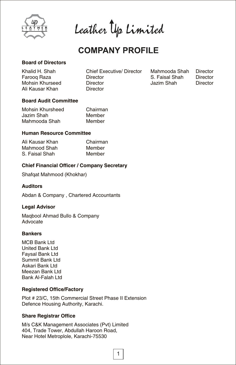

Leather Up Limited

# **COMPANY PROFILE**

# **Board of Directors**

| Khalid H. Shah  | <b>Chief Executive/ Director</b> |  |
|-----------------|----------------------------------|--|
| Faroog Raza     | Director                         |  |
| Mohsin Khurseed | Director                         |  |
| Ali Kausar Khan | Director                         |  |

Mahmooda Shah Director<br>S. Faisal Shah Director S. Faisal Shah Director<br>Jazim Shah Director Jazim Shah

# **Board Audit Committee**

| Mohsin Khursheed | Chairman |
|------------------|----------|
| Jazim Shah       | Member   |
| Mahmooda Shah    | Member   |

# **Human Resource Committee**

| Ali Kausar Khan | Chairman |
|-----------------|----------|
| Mahmood Shah    | Member   |
| S. Faisal Shah  | Member   |

# **Chief Financial Officer / Company Secretary**

Shafqat Mahmood (Khokhar)

# **Auditors**

Abdan & Company , Chartered Accountants

# **Legal Advisor**

Maqbool Ahmad Bullo & Company Advocate

# **Bankers**

MCB Bank Ltd United Bank Ltd Faysal Bank Ltd Summit Bank Ltd Askari Bank Ltd Meezan Bank Ltd Bank Al-Falah Ltd

# **Registered Office/Factory**

Plot # 23/C, 15th Commercial Street Phase II Extension Defence Housing Authority, Karachi.

# **Share Registrar Office**

M/s C&K Management Associates (Pvt) Limited 404, Trade Tower, Abdullah Haroon Road, Near Hotel Metroplole, Karachi-75530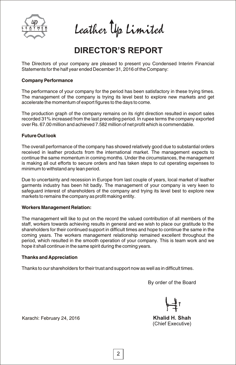

Leather Up Limited

# **DIRECTOR'S REPORT**

The Directors of your company are pleased to present you Condensed Interim Financial Statements for the half year ended December 31, 2016 of the Company:

# **Company Performance**

The performance of your company for the period has been satisfactory in these trying times. The management of the company is trying its level best to explore new markets and get accelerate the momentum of export figures to the days to come.

The production graph of the company remains on its right direction resulted in export sales recorded 31% increased from the last preceding period. In rupee terms the company exported over Rs. 67.00 million and achieved 7.582 million of net profit which is commendable.

# **Future Out look**

The overall performance of the company has showed relatively good due to substantial orders received in leather products from the international market. The management expects to continue the same momentum in coming months. Under the circumstances, the management is making all out efforts to secure orders and has taken steps to cut operating expenses to minimum to withstand any lean period.

Due to uncertainty and recession in Europe from last couple of years, local market of leather garments industry has been hit badly. The management of your company is very keen to safeguard interest of shareholders of the company and trying its level best to explore new markets to remains the company as profit making entity.

# **Workers Management Relation:**

The management will like to put on the record the valued contribution of all members of the staff, workers towards achieving results in general and we wish to place our gratitude to the shareholders for their continued support in difficult times and hope to continue the same in the coming years. The workers management relationship remained excellent throughout the period, which resulted in the smooth operation of your company. This is team work and we hope it shall continue in the same spirit during the coming years.

# **Thanks and Appreciation**

Thanks to our shareholders for their trust and support now as well as in difficult times.

By order of the Board

Khalid H. Shah (Chief Executive)

Karachi: February 24, 2016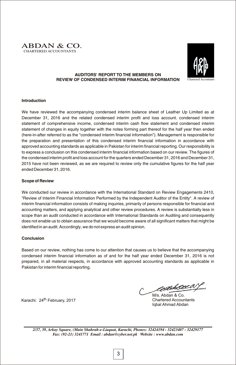



### **AUDITORS' REPORT TO THE MEMBERS ON REVIEW OF CONDENSED INTERIM FINANCIAL INFORMATION**

### **Introduction**

We have reviewed the accompanying condensed interim balance sheet of Leather Up Limited as at December 31, 2016 and the related condensed interim profit and loss account. condensed interim statement of comprehensive income, condensed interim cash flow statement and condensed interim statement of changes in equity together with the notes forming part thereof for the half year then ended (here-in-after referred to as the "condensed interim financial information"). Management is responsible for the preparation and presentation of this condensed interim financial information in accordance with approved accounting standards as applicable in Pakistan for interim financial reporting. Our responsibility is to express a conclusion on this condensed interim financial information based on our review. The figures of the condensed interim profit and loss account for the quarters ended December 31, 2016 and December 31, 2015 have not been reviewed, as we are required to review only the cumulative figures for the half year ended December 31, 2016.

### **Scope of Review**

We conducted our review in accordance with the International Standard on Review Engagements 2410. "Review of Interim Financial Information Performed by the Independent Auditor of the Entity". A review of interim financial information consists of making inquiries, primarily of persons responsible for financial and accounting matters, and applying analytical and other review procedures. A review is substantially less in scope than an audit conducted in accordance with International Standards on Auditing and consequently does not enable us to obtain assurance that we would become aware of all significant matters that might be identified in an audit. Accordingly, we do not express an audit opinion.

### **Conclusion**

Based on our review, nothing has come to our attention that causes us to believe that the accompanying condensed interim financial information as of and for the half year ended December 31, 2016 is not prepared, in all material respects, in accordance with approved accounting standards as applicable in Pakistan for interim financial reporting.

Karachi: 24<sup>th</sup> February, 2017

edbelde a

M/s. Abdan & Co. Chartered Accountants Iqbal Ahmad Abdan

*2/37, 39, Arkay Square, (Main Shahrah-e-Liaquat, Karachi, Phones: 32424194 - 32423407 - 32429177 Fax: (92-21) 3241771 Email : abdan@cyber.net.pk Website : www.abdan.com*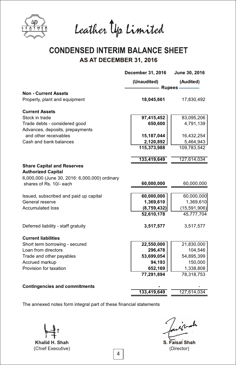

Leather Up Limited

# **CONDENSED INTERIM BALANCE SHEET AS AT DECEMBER 31, 2016**

| (Unaudited)<br>(Audited)<br>- Rupees<br><b>Non - Current Assets</b><br>18,045,661<br>17,830,492<br>97,415,452<br>83,095,206<br>650,600<br>4,791,139<br>Trade debts - considered good<br>and other receivables<br>15,187,044<br>16,432,254<br>2,120,892<br>5,464,943<br>115,373,988<br>109,783,542<br>133,419,649<br>127,614,034<br>6,000,000 (June 30, 2016: 6,000,000) ordinary<br>60,000,000<br>60,000,000<br>shares of Rs. 10/- each<br>60,000,000<br>Issued, subscribed and paid up capital<br>1,369,610<br>1,369,610<br>(8,759,432)<br>52,610,178<br>45,777,704<br>Deferred liability - staff gratuity<br>3,517,577<br>3,517,577<br>22,550,000<br>21,830,000<br>296,478<br>104,546<br>53,699,054<br>54,895,399<br>Trade and other payables<br>94,193<br>150,000<br>Provision for taxation<br>652,169<br>1,338,808<br>77,291,894<br>78,318,753<br>133,419,649<br>127,614,034 |                                                                | December 31, 2016 | June 30, 2016  |
|----------------------------------------------------------------------------------------------------------------------------------------------------------------------------------------------------------------------------------------------------------------------------------------------------------------------------------------------------------------------------------------------------------------------------------------------------------------------------------------------------------------------------------------------------------------------------------------------------------------------------------------------------------------------------------------------------------------------------------------------------------------------------------------------------------------------------------------------------------------------------------|----------------------------------------------------------------|-------------------|----------------|
|                                                                                                                                                                                                                                                                                                                                                                                                                                                                                                                                                                                                                                                                                                                                                                                                                                                                                  |                                                                |                   |                |
|                                                                                                                                                                                                                                                                                                                                                                                                                                                                                                                                                                                                                                                                                                                                                                                                                                                                                  |                                                                |                   |                |
|                                                                                                                                                                                                                                                                                                                                                                                                                                                                                                                                                                                                                                                                                                                                                                                                                                                                                  | Property, plant and equipment                                  |                   |                |
|                                                                                                                                                                                                                                                                                                                                                                                                                                                                                                                                                                                                                                                                                                                                                                                                                                                                                  | <b>Current Assets</b>                                          |                   |                |
|                                                                                                                                                                                                                                                                                                                                                                                                                                                                                                                                                                                                                                                                                                                                                                                                                                                                                  | Stock in trade                                                 |                   |                |
|                                                                                                                                                                                                                                                                                                                                                                                                                                                                                                                                                                                                                                                                                                                                                                                                                                                                                  |                                                                |                   |                |
|                                                                                                                                                                                                                                                                                                                                                                                                                                                                                                                                                                                                                                                                                                                                                                                                                                                                                  | Advances, deposits, prepayments                                |                   |                |
|                                                                                                                                                                                                                                                                                                                                                                                                                                                                                                                                                                                                                                                                                                                                                                                                                                                                                  |                                                                |                   |                |
|                                                                                                                                                                                                                                                                                                                                                                                                                                                                                                                                                                                                                                                                                                                                                                                                                                                                                  | Cash and bank balances                                         |                   |                |
|                                                                                                                                                                                                                                                                                                                                                                                                                                                                                                                                                                                                                                                                                                                                                                                                                                                                                  |                                                                |                   |                |
|                                                                                                                                                                                                                                                                                                                                                                                                                                                                                                                                                                                                                                                                                                                                                                                                                                                                                  |                                                                |                   |                |
|                                                                                                                                                                                                                                                                                                                                                                                                                                                                                                                                                                                                                                                                                                                                                                                                                                                                                  | <b>Share Capital and Reserves</b><br><b>Authorized Capital</b> |                   |                |
|                                                                                                                                                                                                                                                                                                                                                                                                                                                                                                                                                                                                                                                                                                                                                                                                                                                                                  |                                                                |                   |                |
|                                                                                                                                                                                                                                                                                                                                                                                                                                                                                                                                                                                                                                                                                                                                                                                                                                                                                  |                                                                |                   |                |
|                                                                                                                                                                                                                                                                                                                                                                                                                                                                                                                                                                                                                                                                                                                                                                                                                                                                                  |                                                                |                   | 60,000,000     |
|                                                                                                                                                                                                                                                                                                                                                                                                                                                                                                                                                                                                                                                                                                                                                                                                                                                                                  | General reserve                                                |                   |                |
|                                                                                                                                                                                                                                                                                                                                                                                                                                                                                                                                                                                                                                                                                                                                                                                                                                                                                  | <b>Accumulated loss</b>                                        |                   | (15, 591, 906) |
|                                                                                                                                                                                                                                                                                                                                                                                                                                                                                                                                                                                                                                                                                                                                                                                                                                                                                  |                                                                |                   |                |
|                                                                                                                                                                                                                                                                                                                                                                                                                                                                                                                                                                                                                                                                                                                                                                                                                                                                                  |                                                                |                   |                |
|                                                                                                                                                                                                                                                                                                                                                                                                                                                                                                                                                                                                                                                                                                                                                                                                                                                                                  | <b>Current liabilities</b>                                     |                   |                |
|                                                                                                                                                                                                                                                                                                                                                                                                                                                                                                                                                                                                                                                                                                                                                                                                                                                                                  | Short term borrowing - secured                                 |                   |                |
|                                                                                                                                                                                                                                                                                                                                                                                                                                                                                                                                                                                                                                                                                                                                                                                                                                                                                  | Loan from directors                                            |                   |                |
|                                                                                                                                                                                                                                                                                                                                                                                                                                                                                                                                                                                                                                                                                                                                                                                                                                                                                  |                                                                |                   |                |
|                                                                                                                                                                                                                                                                                                                                                                                                                                                                                                                                                                                                                                                                                                                                                                                                                                                                                  | Accrued markup                                                 |                   |                |
|                                                                                                                                                                                                                                                                                                                                                                                                                                                                                                                                                                                                                                                                                                                                                                                                                                                                                  |                                                                |                   |                |
|                                                                                                                                                                                                                                                                                                                                                                                                                                                                                                                                                                                                                                                                                                                                                                                                                                                                                  |                                                                |                   |                |
|                                                                                                                                                                                                                                                                                                                                                                                                                                                                                                                                                                                                                                                                                                                                                                                                                                                                                  | <b>Contingencies and commitments</b>                           |                   |                |
|                                                                                                                                                                                                                                                                                                                                                                                                                                                                                                                                                                                                                                                                                                                                                                                                                                                                                  |                                                                |                   |                |

Khalid H. Shah (Chief Executive)

ivado

**S. Faisal Shah** (Director)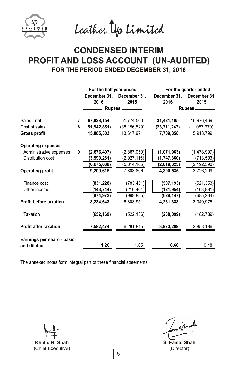

Leather Up Limited

# **CONDENSED INTERIM** PROFIT AND LOSS ACCOUNT (UN-AUDITED) **FOR THE PERIOD ENDED DECEMBER 31, 2016**

|                               |   | For the half year ended |                           |              | For the quarter ended |
|-------------------------------|---|-------------------------|---------------------------|--------------|-----------------------|
|                               |   |                         | December 31, December 31, | December 31, | December 31,          |
|                               |   | 2016                    | 2015                      | 2016         | 2015                  |
|                               |   |                         | Rupees ________           |              |                       |
| Sales - net                   | 7 | 67,828,154              | 51,774,500                | 31,421,105   | 16,976,469            |
| Cost of sales                 | 8 | (51, 942, 851)          | (38, 156, 529)            | (23,711,247) | (11, 057, 670)        |
| <b>Gross profit</b>           |   | 15,885,303              | 13,617,971                | 7,709,858    | 5,918,799             |
| <b>Operating expenses</b>     |   |                         |                           |              |                       |
| Administrative expenses       | 9 | (2,676,407)             | (2,887,050)               | (1,071,963)  | (1,478,997)           |
| Distribution cost             |   | (3,999,281)             | (2,927,115)               | (1,747,360)  | (713, 593)            |
|                               |   | (6,675,688)             | (5,814,165)               | (2,819,323)  | (2, 192, 590)         |
| <b>Operating profit</b>       |   | 9,209,615               | 7.803.806                 | 4,890,535    | 3,726,209             |
| Finance cost                  |   | (831, 228)              | (783, 451)                | (507, 193)   | (521, 353)            |
| Other income                  |   | (143, 744)              | (216, 404)                | (121, 954)   | (163, 881)            |
|                               |   | (974, 972)              | (999, 855)                | (629, 147)   | (685, 234)            |
| <b>Profit before taxation</b> |   | 8.234.643               | 6,803,951                 | 4,261,388    | 3,040,975             |
| Taxation                      |   | (652, 169)              | (522, 136)                | (288,099)    | (182, 789)            |
| <b>Profit after taxation</b>  |   | 7,582,474               | 6,281,815                 | 3,973,289    | 2,858,186             |
| Earnings per share - basic    |   |                         |                           |              |                       |
| and diluted                   |   | 1.26                    | 1.05                      | 0.66         | 0.48                  |

Khalid H. Shah (Chief Executive)

inals **S. Faisal Shah**

(Director)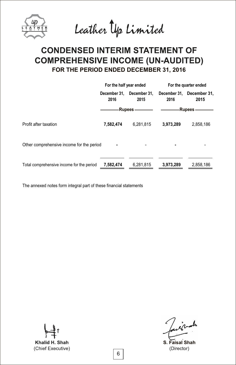Leather Up Limited

# **CONDENSED INTERIM STATEMENT OF COMPREHENSIVE INCOME (UN-AUDITED) FOR THE PERIOD ENDED DECEMBER 31, 2016**

|                                           | For the half year ended |                      | For the quarter ended |                                   |
|-------------------------------------------|-------------------------|----------------------|-----------------------|-----------------------------------|
|                                           | December 31.<br>2016    | December 31.<br>2015 | 2016                  | December 31, December 31,<br>2015 |
|                                           | -Rupees ————            |                      | ————— Rupees —        |                                   |
| Profit after taxation                     | 7.582.474               | 6.281.815            | 3.973.289             | 2,858,186                         |
| Other comprehensive income for the period |                         |                      |                       |                                   |
| Total comprehensive income for the period | 7,582,474               | 6,281,815            | 3,973,289             | 2,858,186                         |

Khalid H. Shah (Chief Executive)

inals

**S. Faisal Shah**(Director)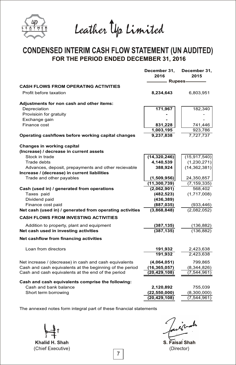

Leather Up Limited

# **CONDENSED INTERIM CASH FLOW STATEMENT (UN AUDITED)**<br>FOR THE PERIOD ENDED DECEMBER 31, 2016

|                                                          | December 31,<br>2016 | December 31,<br>2015 |
|----------------------------------------------------------|----------------------|----------------------|
| <b>CASH FLOWS FROM OPERATING ACTIVITIES</b>              | - Rupees             |                      |
| Profit before taxation                                   | 8,234,643            | 6,803,951            |
| Adjustments for non cash and other items:                |                      |                      |
| Depreciation                                             | 171,967              | 182,340              |
| Provisioin for gratuity                                  |                      |                      |
| Exchange gain                                            |                      |                      |
| Finance cost                                             | 831,228              | 741,446              |
|                                                          | 1,003,195            | 923.786              |
| Operating cashflows before working capital changes       | 9,237,838            | 7,727,737            |
| Changes in working capital                               |                      |                      |
| (Increase) / decrease in current assets                  |                      |                      |
| Stock in trade                                           | (14, 320, 246)       | (15, 917, 540)       |
| Trade debts                                              | 4,140,539            | (1,230,271)          |
| Advances, deposit, prepayments and other recievable      | 388,924              | (14, 362, 381)       |
| Increase / (decrease) in current liabilities             |                      |                      |
| Trade and other payables                                 | (1,509,956)          | 24,350,857           |
|                                                          | (11, 300, 739)       | (7, 159, 335)        |
| Cash (used in) / generated from operations               | (2,062,901)          | 568,402              |
| Taxes paid                                               | (482, 523)           | (1,717,008)          |
| Dividend paid                                            | (436, 389)           |                      |
| Finance cost paid                                        | (887, 035)           | (933, 446)           |
| Net cash (used in) / generated from operating activities | (3,868,848)          | (2,082,052)          |
| <b>CASH FLOWS FROM INVESTING ACTIVITIES</b>              |                      |                      |
| Addition to property, plant and equipment                | (387, 135)           | (136, 882)           |
| Net cash used in investing activities                    | (387.135)            | (136, 882)           |
| Net cashflow from financing activities                   |                      |                      |
| Loan from directors                                      | 191,932              | 2,423,638            |
|                                                          | 191,932              | 2,423,638            |
| Net increase / (decrease) in cash and cash equivalents   | (4,064,051)          | 799,865              |
| Cash and cash equivalents at the beginning of the period | (16, 365, 057)       | (8,344,826)          |
| Cash and cash equivalents at the end of the period       | (20, 429, 108)       | (7, 544, 961)        |
| Cash and cash equivalents comprise the following:        |                      |                      |
| Cash and bank balance                                    | 2,120,892            | 755,039              |
| Short term borrowing                                     | (22, 550, 000)       | (8,300,000)          |
|                                                          | (20, 429, 108)       | (7, 544, 961)        |
|                                                          |                      |                      |

Khalid H. Shah (Chief Executive)

ᆚ

**S. Faisal Shah** (Director)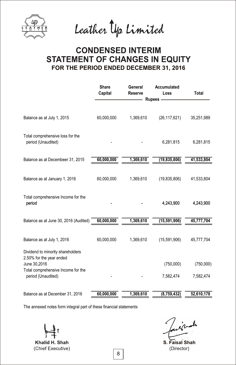

Leather Up Limited

# **CONDENSED INTERIM STATEMENT OF CHANGES IN EQUITY FOR THE PERIOD ENDED DECEMBER 31, 2016**

|                                                                                                                     | <b>Share</b><br>Capital | General<br><b>Reserve</b> | Accumulated<br>Loss | <b>Total</b> |
|---------------------------------------------------------------------------------------------------------------------|-------------------------|---------------------------|---------------------|--------------|
|                                                                                                                     |                         |                           | <b>Rupees</b>       |              |
| Balance as at July 1, 2015                                                                                          | 60,000,000              | 1,369,610                 | (26, 117, 621)      | 35,251,989   |
| Total comprehensive loss for the<br>period (Unaudited)                                                              |                         |                           | 6,281,815           | 6,281,815    |
| Balance as at Decembeer 31, 2015                                                                                    | 60,000,000              | 1,369,610                 | (19, 835, 806)      | 41,533,804   |
| Balance as at January 1, 2016                                                                                       | 60,000,000              | 1,369,610                 | (19,835,806)        | 41,533,804   |
| Total comprehensive Income for the<br>period                                                                        |                         |                           | 4,243,900           | 4,243,900    |
| Balance as at June 30, 2016 (Audited)                                                                               | 60,000,000              | 1,369,610                 | (15, 591, 906)      | 45,777,704   |
| Balance as at July 1, 2016                                                                                          | 60,000,000              | 1,369,610                 | (15,591,906)        | 45,777,704   |
| Dividend to minority shareholders<br>2.50% for the year ended<br>June 30,2016<br>Total comprehensive Income for the |                         |                           | (750,000)           | (750,000)    |
| period (Unaudited)                                                                                                  |                         |                           | 7,582,474           | 7,582,474    |
| Balance as at December 31, 2016                                                                                     | 60,000,000              | 1,369,610                 | (8,759,432)         | 52,610,178   |

Khalid H. Shah (Chief Executive)

nach

**S. Faisal Shah** (Director)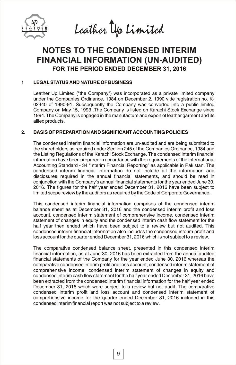

Leather Up Limited

# **NOTES TO THE CONDENSED INTERIM FINANCIAL INFORMATION (UN-AUDITED) FOR THE PERIOD ENDED DECEMBER 31, 2016**

# **1 LEGAL STATUS AND NATURE OF BUSINESS**

Leather Up Limited ("the Company") was incorporated as a private limited company under the Companies Ordinance, 1984 on December 2, 1990 vide registration no. K-02440 of 1990-91. Subsequently the Company was converted into a public limited Company on May 15, 1993 .The Company is listed on Karachi Stock Exchange since 1994. The Company is engaged in the manufacture and export of leather garment and its allied products.

# **2. BASIS OF PREPARATION AND SIGNIFICANT ACCOUNTING POLICIES**

The condensed interim financial information are un-audited and are being submitted to the shareholders as required under Section 245 of the Companies Ordinance, 1984 and the Listing Regulations of the Karachi Stock Exchange. The condensed interim financial information have been prepared in accordance with the requirements of the International Accounting Standard - 34 "Interim Financial Reporting" as applicable in Pakistan. The condensed interim financial information do not include all the information and disclosures required in the annual financial statements, and should be read in conjunction with the Company's annual financial statements for the year ended June 30, 2016. The figures for the half year ended December 31, 2016 have been subject to limited scope review by the auditors as required by the Code of Corporate Governance.

This condensed interim financial information comprises of the condensed interim balance sheet as at December 31, 2016 and the condensed interim profit and loss account, condensed interim statement of comprehensive income, condensed interim statement of changes in equity and the condensed interim cash flow statement for the half year then ended which have been subject to a review but not audited. This condensed interim financial information also includes the condensed interim profit and loss account for the quarter ended December 31, 2016 which is not subject to a review.

The comparative condensed balance sheet, presented in this condensed interim financial information, as at June 30, 2016 has been extracted from the annual audited financial statements of the Company for the year ended June 30, 2016 whereas the comparative condensed interim profit and loss account, condensed interim statement of comprehensive income, condensed interim statement of changes in equity and condensed interim cash flow statement for the half year ended December 31, 2016 have been extracted from the condensed interim financial information for the half year ended December 31, 2016 which were subject to a review but not audit. The comparative condensed interim profit and loss account and condensed interim statement of comprehensive income for the quarter ended December 31, 2016 included in this condensed interim financial report was not subject to a review.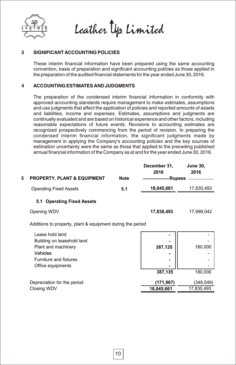

Leather Up Limited

# **3 SIGNIFICANT ACCOUNTING POLICIES**

These interim financial information have been prepared using the same accounting convention, basis of preparation and significant accounting policies as those applied in the preparation of the audited financial statements for the year ended June 30, 2016.

# **4 ACCOUNTING ESTIMATES AND JUDGMENTS**

The preparation of the condensed interim financial information in conformity with approved accounting standards require management to make estimates, assumptions and use judgments that affect the application of policies and reported amounts of assets and liabilities, income and expenses. Estimates, assumptions and judgments are continually evaluated and are based on historical experience and other factors, including reasonable expectations of future events. Revisions to accounting estimates are recognized prospectively commencing from the period of revision. In preparing the condensed interim financial information, the significant judgments made by management in applying the Company's accounting policies and the key sources of estimation uncertainty were the same as those that applied to the preceding published annual financial information of the Company as at and for the year ended June 30, 2016.

|   |                                                            |             | December 31,<br>2016 | <b>June 30,</b><br>2016 |
|---|------------------------------------------------------------|-------------|----------------------|-------------------------|
| 5 | <b>PROPERTY, PLANT &amp; EQUIPMENT</b>                     | <b>Note</b> | <b>Rupees</b>        |                         |
|   | <b>Operating Fixed Assets</b>                              | 5.1         | 18,045,661           | 17,830,493              |
|   | <b>Operating Fixed Assets</b><br>5.1                       |             |                      |                         |
|   | Opening WDV                                                |             | 17,830,493           | 17,999,042              |
|   | Additions to property, plant & equipment during the period |             |                      |                         |
|   | Lease hold land                                            |             |                      |                         |
|   | Building on leasehold land                                 |             |                      |                         |
|   | Plant and machinery                                        |             | 387,135              | 180,000                 |
|   | Vehicles                                                   |             |                      |                         |
|   | Furniture and fixtures                                     |             |                      |                         |
|   | Office equipments                                          |             |                      |                         |
|   |                                                            |             | 387,135              | 180,000                 |
|   | Depreciation for the period                                |             | (171,967)            | (348, 549)              |
|   | Closing WDV                                                |             | 18,045,661           | 17,830,493              |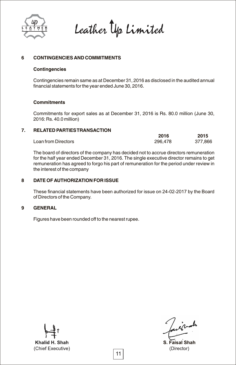

Leather Up Limited

# **6 CONTINGENCIES AND COMMITMENTS**

### **Contingencies**

Contingencies remain same as at December 31, 2016 as disclosed in the audited annual financial statements for the year ended June 30, 2016.

## **Commitments**

Commitments for export sales as at December 31, 2016 is Rs. 80.0 million (June 30, 2016: Rs. 40.0 million)

# **7. RELATED PARTIES TRANSACTION**

|                     | 2016    | 2015    |
|---------------------|---------|---------|
| Loan from Directors | 296,478 | 377.866 |

The board of directors of the company has decided not to accrue directors remuneration for the half year ended December 31, 2016. The single executive director remains to get remuneration has agreed to forgo his part of remuneration for the period under review in the interest of the company

# **8 DATE OF AUTHORIZATION FOR ISSUE**

These financial statements have been authorized for issue on 24-02-2017 by the Board of Directors of the Company.

# **9 GENERAL**

Figures have been rounded off to the nearest rupee.

Khalid H. Shah (Chief Executive)

inals

**S. Faisal Shah** (Director)